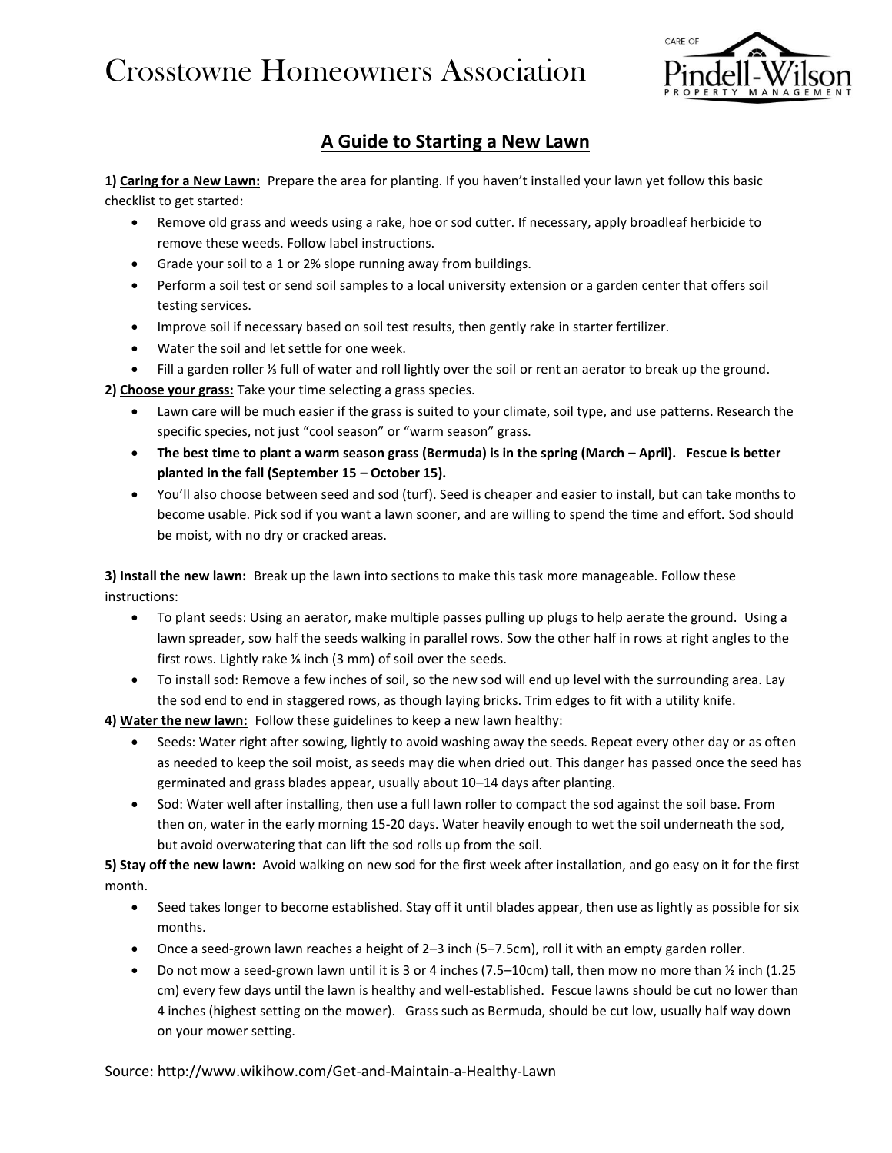## Crosstowne Homeowners Association



## **A Guide to Starting a New Lawn**

**1) Caring for a New Lawn:** Prepare the area for planting. If you haven't installed your lawn yet follow this basic checklist to get started:

- Remove old grass and weeds using a rake, hoe or sod cutter. If necessary, apply broadleaf herbicide to remove these weeds. Follow label instructions.
- Grade your soil to a 1 or 2% slope running away from buildings.
- Perform a soil test or send soil samples to a local university extension or a garden center that offers soil testing services.
- Improve soil if necessary based on soil test results, then gently rake in starter fertilizer.
- Water the soil and let settle for one week.
- Fill a garden roller ⅓ full of water and roll lightly over the soil or rent an aerator to break up the ground.

**2) Choose your grass:** Take your time selecting a grass species.

- Lawn care will be much easier if the grass is suited to your climate, soil type, and use patterns. Research the specific species, not just "cool season" or "warm season" grass.
- **The best time to plant a warm season grass (Bermuda) is in the spring (March – April). Fescue is better planted in the fall (September 15 – October 15).**
- You'll also choose between seed and sod (turf). Seed is cheaper and easier to install, but can take months to become usable. Pick sod if you want a lawn sooner, and are willing to spend the time and effort. Sod should be moist, with no dry or cracked areas.

**3) Install the new lawn:** Break up the lawn into sections to make this task more manageable. Follow these instructions:

- To plant seeds: Using an aerator, make multiple passes pulling up plugs to help aerate the ground. Using a lawn spreader, sow half the seeds walking in parallel rows. Sow the other half in rows at right angles to the first rows. Lightly rake <sup>1/2</sup> inch (3 mm) of soil over the seeds.
- To install sod: Remove a few inches of soil, so the new sod will end up level with the surrounding area. Lay the sod end to end in staggered rows, as though laying bricks. Trim edges to fit with a utility knife.

**4) Water the new lawn:** Follow these guidelines to keep a new lawn healthy:

- Seeds: Water right after sowing, lightly to avoid washing away the seeds. Repeat every other day or as often as needed to keep the soil moist, as seeds may die when dried out. This danger has passed once the seed has germinated and grass blades appear, usually about 10–14 days after planting.
- Sod: Water well after installing, then use a full lawn roller to compact the sod against the soil base. From then on, water in the early morning 15-20 days. Water heavily enough to wet the soil underneath the sod, but avoid overwatering that can lift the sod rolls up from the soil.

**5) Stay off the new lawn:** Avoid walking on new sod for the first week after installation, and go easy on it for the first month.

- Seed takes longer to become established. Stay off it until blades appear, then use as lightly as possible for six months.
- Once a seed-grown lawn reaches a height of 2–3 inch (5–7.5cm), roll it with an empty garden roller.
- Do not mow a seed-grown lawn until it is 3 or 4 inches (7.5–10cm) tall, then mow no more than ½ inch (1.25 cm) every few days until the lawn is healthy and well-established. Fescue lawns should be cut no lower than 4 inches (highest setting on the mower). Grass such as Bermuda, should be cut low, usually half way down on your mower setting.

Source: http://www.wikihow.com/Get-and-Maintain-a-Healthy-Lawn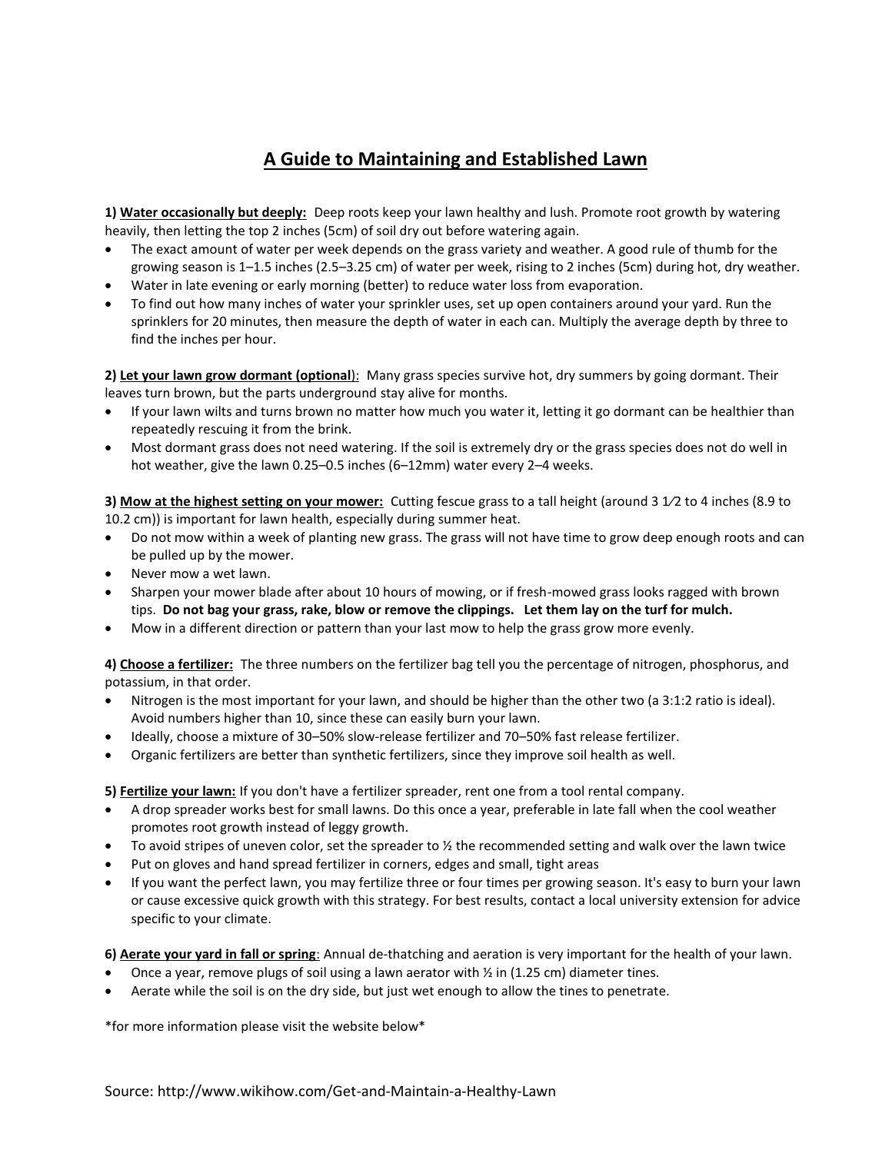## **A Guide to Maintaining and Established Lawn**

**1) Water occasionally but deeply:** Deep roots keep your lawn healthy and lush. Promote root growth by watering heavily, then letting the top 2 inches (5cm) of soil dry out before watering again.

- The exact amount of water per week depends on the grass variety and weather. A good rule of thumb for the growing season is 1–1.5 inches (2.5–3.25 cm) of water per week, rising to 2 inches (5cm) during hot, dry weather.
- Water in late evening or early morning (better) to reduce water loss from evaporation.
- To find out how many inches of water your sprinkler uses, set up open containers around your yard. Run the sprinklers for 20 minutes, then measure the depth of water in each can. Multiply the average depth by three to find the inches per hour.

**2) Let your lawn grow dormant (optional**): Many grass species survive hot, dry summers by going dormant. Their leaves turn brown, but the parts underground stay alive for months.

- If your lawn wilts and turns brown no matter how much you water it, letting it go dormant can be healthier than repeatedly rescuing it from the brink.
- Most dormant grass does not need watering. If the soil is extremely dry or the grass species does not do well in hot weather, give the lawn 0.25–0.5 inches (6–12mm) water every 2–4 weeks.

**3) Mow at the highest setting on your mower:** Cutting fescue grass to a tall height (around 3 1/2 to 4 inches (8.9 to 10.2 cm)) is important for lawn health, especially during summer heat.

- Do not mow within a week of planting new grass. The grass will not have time to grow deep enough roots and can be pulled up by the mower.
- Never mow a wet lawn.
- Sharpen your mower blade after about 10 hours of mowing, or if fresh-mowed grass looks ragged with brown tips. **Do not bag your grass, rake, blow or remove the clippings. Let them lay on the turf for mulch.**
- Mow in a different direction or pattern than your last mow to help the grass grow more evenly.

**4) Choose a fertilizer:** The three numbers on the fertilizer bag tell you the percentage of nitrogen, phosphorus, and potassium, in that order.

- Nitrogen is the most important for your lawn, and should be higher than the other two (a 3:1:2 ratio is ideal). Avoid numbers higher than 10, since these can easily burn your lawn.
- Ideally, choose a mixture of 30–50% slow-release fertilizer and 70–50% fast release fertilizer.
- Organic fertilizers are better than synthetic fertilizers, since they improve soil health as well.

**5) Fertilize your lawn:** If you don't have a fertilizer spreader, rent one from a tool rental company.

- A drop spreader works best for small lawns. Do this once a year, preferable in late fall when the cool weather promotes root growth instead of leggy growth.
- To avoid stripes of uneven color, set the spreader to  $\frac{1}{2}$  the recommended setting and walk over the lawn twice
- Put on gloves and hand spread fertilizer in corners, edges and small, tight areas
- If you want the perfect lawn, you may fertilize three or four times per growing season. It's easy to burn your lawn or cause excessive quick growth with this strategy. For best results, contact a local university extension for advice specific to your climate.

**6) Aerate your yard in fall or spring**: Annual de-thatching and aeration is very important for the health of your lawn.

- Once a year, remove plugs of soil using a lawn aerator with  $\frac{1}{2}$  in (1.25 cm) diameter tines.
- Aerate while the soil is on the dry side, but just wet enough to allow the tines to penetrate.

\*for more information please visit the website below\*